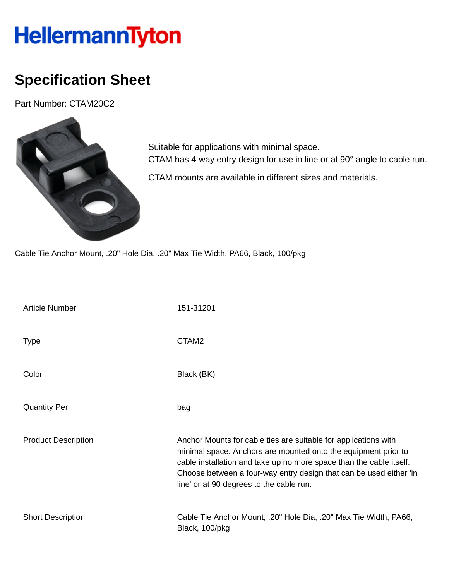## HellermannTyton

## **Specification Sheet**

Part Number: CTAM20C2



Suitable for applications with minimal space. CTAM has 4-way entry design for use in line or at 90° angle to cable run. CTAM mounts are available in different sizes and materials.

Cable Tie Anchor Mount, .20" Hole Dia, .20" Max Tie Width, PA66, Black, 100/pkg

| <b>Article Number</b>      | 151-31201                                                                                                                                                                                                                                                                                                                  |
|----------------------------|----------------------------------------------------------------------------------------------------------------------------------------------------------------------------------------------------------------------------------------------------------------------------------------------------------------------------|
| <b>Type</b>                | CTAM <sub>2</sub>                                                                                                                                                                                                                                                                                                          |
| Color                      | Black (BK)                                                                                                                                                                                                                                                                                                                 |
| <b>Quantity Per</b>        | bag                                                                                                                                                                                                                                                                                                                        |
| <b>Product Description</b> | Anchor Mounts for cable ties are suitable for applications with<br>minimal space. Anchors are mounted onto the equipment prior to<br>cable installation and take up no more space than the cable itself.<br>Choose between a four-way entry design that can be used either 'in<br>line' or at 90 degrees to the cable run. |
| <b>Short Description</b>   | Cable Tie Anchor Mount, .20" Hole Dia, .20" Max Tie Width, PA66,<br>Black, 100/pkg                                                                                                                                                                                                                                         |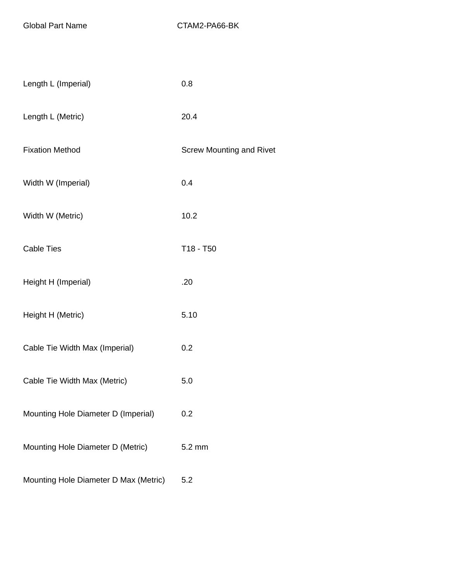Global Part Name CTAM2-PA66-BK

| Length L (Imperial)                   | 0.8                             |
|---------------------------------------|---------------------------------|
| Length L (Metric)                     | 20.4                            |
| <b>Fixation Method</b>                | <b>Screw Mounting and Rivet</b> |
| Width W (Imperial)                    | 0.4                             |
| Width W (Metric)                      | 10.2                            |
| <b>Cable Ties</b>                     | T18 - T50                       |
| Height H (Imperial)                   | .20                             |
| Height H (Metric)                     | 5.10                            |
| Cable Tie Width Max (Imperial)        | 0.2                             |
| Cable Tie Width Max (Metric)          | 5.0                             |
| Mounting Hole Diameter D (Imperial)   | 0.2                             |
| Mounting Hole Diameter D (Metric)     | 5.2 mm                          |
| Mounting Hole Diameter D Max (Metric) | 5.2                             |